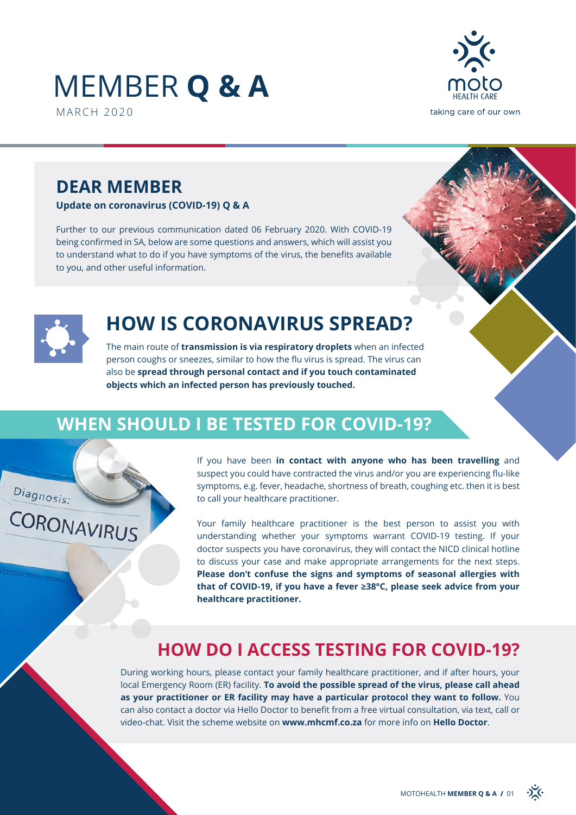## MEMBER **Q & A** MARCH 2020



## **DEAR MEMBER**

**Update on coronavirus (COVID-19) Q & A**

Further to our previous communication dated 06 February 2020. With COVID-19 being confirmed in SA, below are some questions and answers, which will assist you to understand what to do if you have symptoms of the virus, the benefits available to you, and other useful information.



Diagnosis:

CORONAVIRUS

## **HOW IS CORONAVIRUS SPREAD?**

The main route of **transmission is via respiratory droplets** when an infected person coughs or sneezes, similar to how the flu virus is spread. The virus can also be **spread through personal contact and if you touch contaminated objects which an infected person has previously touched.**

## **WHEN SHOULD I BE TESTED FOR COVID-19?**

If you have been **in contact with anyone who has been travelling** and suspect you could have contracted the virus and/or you are experiencing flu-like symptoms, e.g. fever, headache, shortness of breath, coughing etc. then it is best to call your healthcare practitioner.

Your family healthcare practitioner is the best person to assist you with understanding whether your symptoms warrant COVID-19 testing. If your doctor suspects you have coronavirus, they will contact the NICD clinical hotline to discuss your case and make appropriate arrangements for the next steps. **Please don't confuse the signs and symptoms of seasonal allergies with that of COVID-19, if you have a fever ≥38°C, please seek advice from your healthcare practitioner.**

## **HOW DO I ACCESS TESTING FOR COVID-19?**

During working hours, please contact your family healthcare practitioner, and if after hours, your local Emergency Room (ER) facility. **To avoid the possible spread of the virus, please call ahead as your practitioner or ER facility may have a particular protocol they want to follow.** You can also contact a doctor via Hello Doctor to benefit from a free virtual consultation, via text, call or video-chat. Visit the scheme website on **www.mhcmf.co.za** for more info on **Hello Doctor**.

 $\sum_{k}$